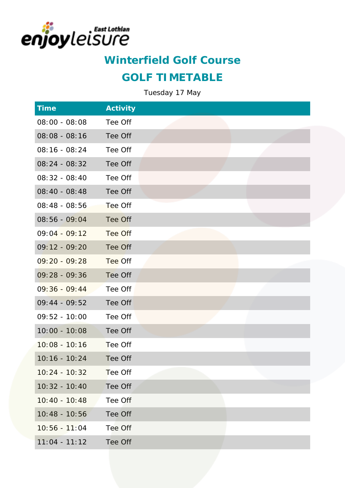

### **GOLF TIMETABLE**

| <b>Time</b>     | Activity |  |  |
|-----------------|----------|--|--|
| $08:00 - 08:08$ | Tee Off  |  |  |
| $08:08 - 08:16$ | Tee Off  |  |  |
| $08:16 - 08:24$ | Tee Off  |  |  |
| $08:24 - 08:32$ | Tee Off  |  |  |
| $08:32 - 08:40$ | Tee Off  |  |  |
| 08:40 - 08:48   | Tee Off  |  |  |
| $08:48 - 08:56$ | Tee Off  |  |  |
| $08:56 - 09:04$ | Tee Off  |  |  |
| $09:04 - 09:12$ | Tee Off  |  |  |
| $09:12 - 09:20$ | Tee Off  |  |  |
| $09:20 - 09:28$ | Tee Off  |  |  |
| $09:28 - 09:36$ | Tee Off  |  |  |
| $09:36 - 09:44$ | Tee Off  |  |  |
| $09:44 - 09:52$ | Tee Off  |  |  |
| $09:52 - 10:00$ | Tee Off  |  |  |
| $10:00 - 10:08$ | Tee Off  |  |  |
| $10:08 - 10:16$ | Tee Off  |  |  |
| $10:16 - 10:24$ | Tee Off  |  |  |
| $10:24 - 10:32$ | Tee Off  |  |  |
| $10:32 - 10:40$ | Tee Off  |  |  |
| $10:40 - 10:48$ | Tee Off  |  |  |
| $10:48 - 10:56$ | Tee Off  |  |  |
| $10:56 - 11:04$ | Tee Off  |  |  |
| $11:04 - 11:12$ | Tee Off  |  |  |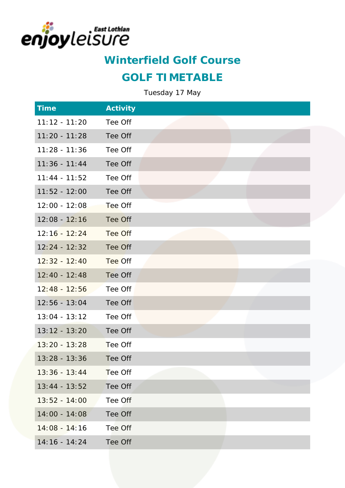

#### **GOLF TIMETABLE**

| <b>Time</b>     | Activity |
|-----------------|----------|
| $11:12 - 11:20$ | Tee Off  |
| $11:20 - 11:28$ | Tee Off  |
| $11:28 - 11:36$ | Tee Off  |
| $11:36 - 11:44$ | Tee Off  |
| $11:44 - 11:52$ | Tee Off  |
| $11:52 - 12:00$ | Tee Off  |
| $12:00 - 12:08$ | Tee Off  |
| $12:08 - 12:16$ | Tee Off  |
| $12:16 - 12:24$ | Tee Off  |
| $12:24 - 12:32$ | Tee Off  |
| $12:32 - 12:40$ | Tee Off  |
| $12:40 - 12:48$ | Tee Off  |
| $12:48 - 12:56$ | Tee Off  |
| $12:56 - 13:04$ | Tee Off  |
| $13:04 - 13:12$ | Tee Off  |
| $13:12 - 13:20$ | Tee Off  |
| $13:20 - 13:28$ | Tee Off  |
| $13:28 - 13:36$ | Tee Off  |
| $13:36 - 13:44$ | Tee Off  |
| $13:44 - 13:52$ | Tee Off  |
| $13:52 - 14:00$ | Tee Off  |
| $14:00 - 14:08$ | Tee Off  |
| $14:08 - 14:16$ | Tee Off  |
| $14:16 - 14:24$ | Tee Off  |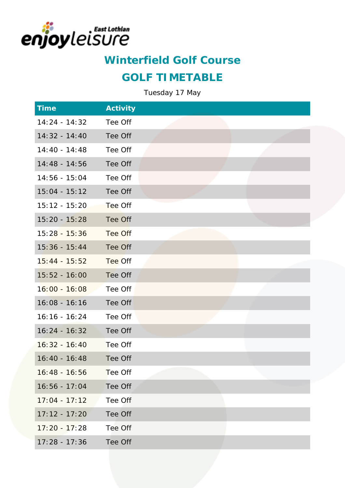

### **GOLF TIMETABLE**

| <b>Time</b>     | Activity |
|-----------------|----------|
| $14:24 - 14:32$ | Tee Off  |
| $14:32 - 14:40$ | Tee Off  |
| $14:40 - 14:48$ | Tee Off  |
| $14:48 - 14:56$ | Tee Off  |
| $14:56 - 15:04$ | Tee Off  |
| $15:04 - 15:12$ | Tee Off  |
| 15:12 - 15:20   | Tee Off  |
| $15:20 - 15:28$ | Tee Off  |
| $15:28 - 15:36$ | Tee Off  |
| $15:36 - 15:44$ | Tee Off  |
| $15:44 - 15:52$ | Tee Off  |
| $15:52 - 16:00$ | Tee Off  |
| $16:00 - 16:08$ | Tee Off  |
| $16:08 - 16:16$ | Tee Off  |
| $16:16 - 16:24$ | Tee Off  |
| $16:24 - 16:32$ | Tee Off  |
| $16:32 - 16:40$ | Tee Off  |
| $16:40 - 16:48$ | Tee Off  |
| $16:48 - 16:56$ | Tee Off  |
| $16:56 - 17:04$ | Tee Off  |
| $17:04 - 17:12$ | Tee Off  |
| $17:12 - 17:20$ | Tee Off  |
| $17:20 - 17:28$ | Tee Off  |
| $17:28 - 17:36$ | Tee Off  |